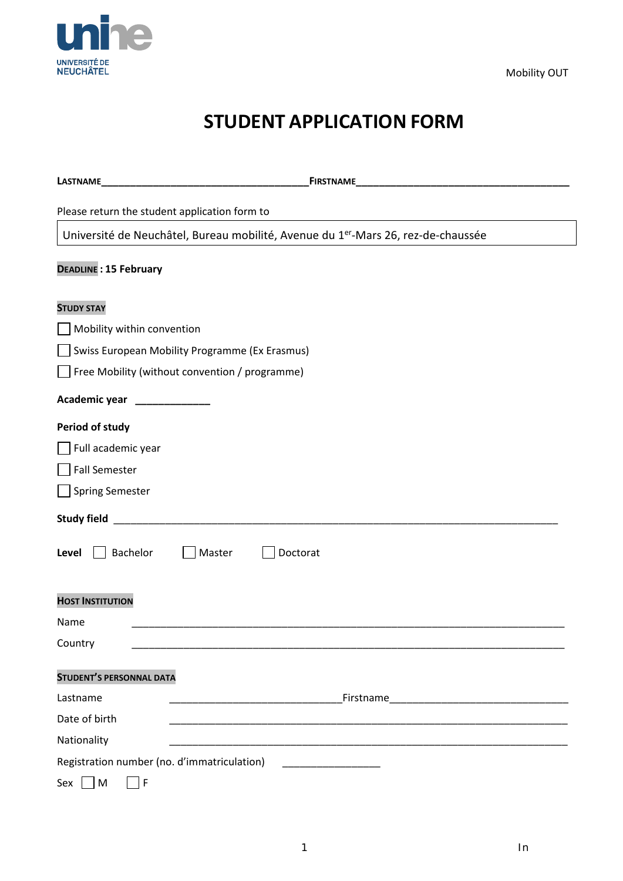

Mobility OUT

# **STUDENT APPLICATION FORM**

| LASTNAME                                                                                      |           |  |  |  |  |
|-----------------------------------------------------------------------------------------------|-----------|--|--|--|--|
| Please return the student application form to                                                 |           |  |  |  |  |
| Université de Neuchâtel, Bureau mobilité, Avenue du 1 <sup>er</sup> -Mars 26, rez-de-chaussée |           |  |  |  |  |
| <b>DEADLINE: 15 February</b>                                                                  |           |  |  |  |  |
| <b>STUDY STAY</b>                                                                             |           |  |  |  |  |
| Mobility within convention                                                                    |           |  |  |  |  |
| Swiss European Mobility Programme (Ex Erasmus)                                                |           |  |  |  |  |
| Free Mobility (without convention / programme)                                                |           |  |  |  |  |
| Academic year<br>_______________                                                              |           |  |  |  |  |
| <b>Period of study</b>                                                                        |           |  |  |  |  |
| Full academic year                                                                            |           |  |  |  |  |
| <b>Fall Semester</b>                                                                          |           |  |  |  |  |
| <b>Spring Semester</b>                                                                        |           |  |  |  |  |
|                                                                                               |           |  |  |  |  |
| Bachelor<br>Master<br>Doctorat<br>Level                                                       |           |  |  |  |  |
| <b>HOST INSTITUTION</b>                                                                       |           |  |  |  |  |
| Name                                                                                          |           |  |  |  |  |
| Country                                                                                       |           |  |  |  |  |
| <b>STUDENT'S PERSONNAL DATA</b>                                                               |           |  |  |  |  |
| Lastname                                                                                      | Firstname |  |  |  |  |
| Date of birth                                                                                 |           |  |  |  |  |
| Nationality                                                                                   |           |  |  |  |  |
| Registration number (no. d'immatriculation)                                                   |           |  |  |  |  |
| ${\sf M}$<br>١F<br>Sex                                                                        |           |  |  |  |  |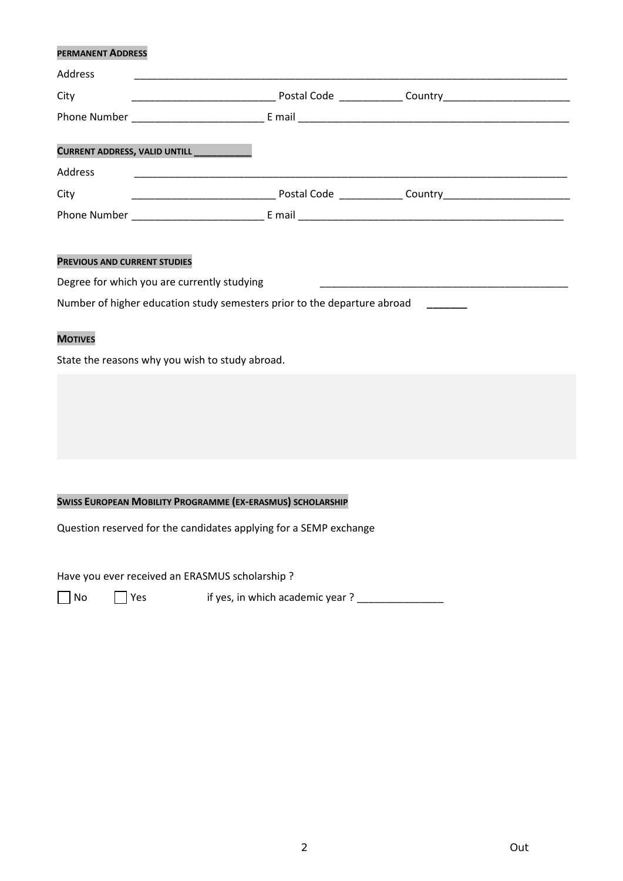## **PERMANENT ADDRESS**

| Address |                                            |  |
|---------|--------------------------------------------|--|
| City    |                                            |  |
|         |                                            |  |
|         |                                            |  |
|         | CURRENT ADDRESS, VALID UNTILL ____________ |  |
| Address |                                            |  |
| City    |                                            |  |
|         |                                            |  |
|         |                                            |  |

#### **PREVIOUS AND CURRENT STUDIES**

| Degree for which you are currently studying                              |  |
|--------------------------------------------------------------------------|--|
| Number of higher education study semesters prior to the departure abroad |  |

# **MOTIVES**

State the reasons why you wish to study abroad.

## **SWISS EUROPEAN MOBILITY PROGRAMME (EX-ERASMUS) SCHOLARSHIP**

Question reserved for the candidates applying for a SEMP exchange

Have you ever received an ERASMUS scholarship ?

No Yes if yes, in which academic year ? \_\_\_\_\_\_\_\_\_\_\_\_\_\_\_